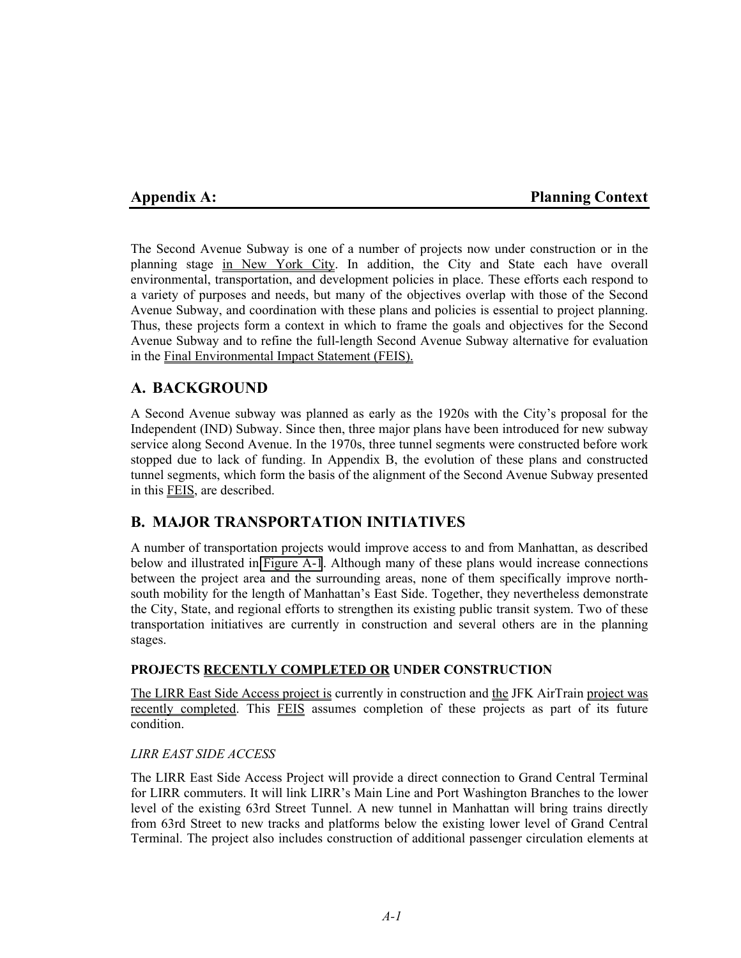# **Appendix A: Planning Context**

The Second Avenue Subway is one of a number of projects now under construction or in the planning stage in New York City. In addition, the City and State each have overall environmental, transportation, and development policies in place. These efforts each respond to a variety of purposes and needs, but many of the objectives overlap with those of the Second Avenue Subway, and coordination with these plans and policies is essential to project planning. Thus, these projects form a context in which to frame the goals and objectives for the Second Avenue Subway and to refine the full-length Second Avenue Subway alternative for evaluation in the Final Environmental Impact Statement (FEIS).

# **A. BACKGROUND**

A Second Avenue subway was planned as early as the 1920s with the City's proposal for the Independent (IND) Subway. Since then, three major plans have been introduced for new subway service along Second Avenue. In the 1970s, three tunnel segments were constructed before work stopped due to lack of funding. In Appendix B, the evolution of these plans and constructed tunnel segments, which form the basis of the alignment of the Second Avenue Subway presented in this FEIS, are described.

# **B. MAJOR TRANSPORTATION INITIATIVES**

A number of transportation projects would improve access to and from Manhattan, as described below and illustrated in Figure A-1. Although many of these plans would increase connections between the project area and the surrounding areas, none of them specifically improve northsouth mobility for the length of Manhattan's East Side. Together, they nevertheless demonstrate the City, State, and regional efforts to strengthen its existing public transit system. Two of these transportation initiatives are currently in construction and several others are in the planning stages.

## **PROJECTS RECENTLY COMPLETED OR UNDER CONSTRUCTION**

The LIRR East Side Access project is currently in construction and the JFK AirTrain project was recently completed. This FEIS assumes completion of these projects as part of its future condition.

### *LIRR EAST SIDE ACCESS*

The LIRR East Side Access Project will provide a direct connection to Grand Central Terminal for LIRR commuters. It will link LIRR's Main Line and Port Washington Branches to the lower level of the existing 63rd Street Tunnel. A new tunnel in Manhattan will bring trains directly from 63rd Street to new tracks and platforms below the existing lower level of Grand Central Terminal. The project also includes construction of additional passenger circulation elements at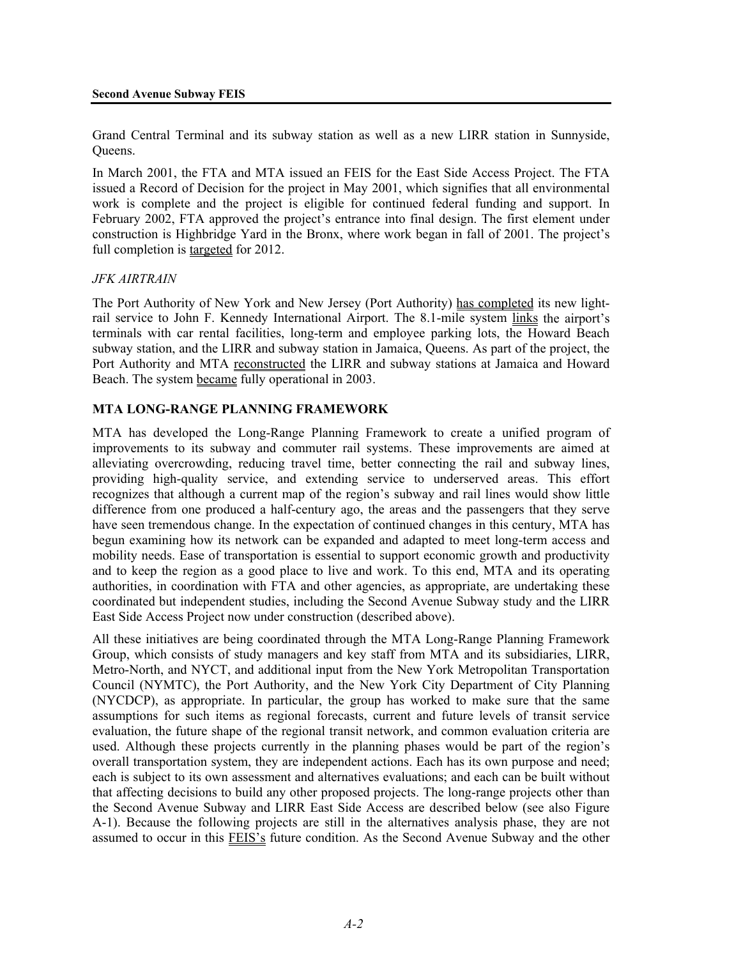Grand Central Terminal and its subway station as well as a new LIRR station in Sunnyside, Queens.

In March 2001, the FTA and MTA issued an FEIS for the East Side Access Project. The FTA issued a Record of Decision for the project in May 2001, which signifies that all environmental work is complete and the project is eligible for continued federal funding and support. In February 2002, FTA approved the project's entrance into final design. The first element under construction is Highbridge Yard in the Bronx, where work began in fall of 2001. The project's full completion is targeted for 2012.

## *JFK AIRTRAIN*

The Port Authority of New York and New Jersey (Port Authority) has completed its new lightrail service to John F. Kennedy International Airport. The 8.1-mile system links the airport's terminals with car rental facilities, long-term and employee parking lots, the Howard Beach subway station, and the LIRR and subway station in Jamaica, Queens. As part of the project, the Port Authority and MTA reconstructed the LIRR and subway stations at Jamaica and Howard Beach. The system became fully operational in 2003.

## **MTA LONG-RANGE PLANNING FRAMEWORK**

MTA has developed the Long-Range Planning Framework to create a unified program of improvements to its subway and commuter rail systems. These improvements are aimed at alleviating overcrowding, reducing travel time, better connecting the rail and subway lines, providing high-quality service, and extending service to underserved areas. This effort recognizes that although a current map of the region's subway and rail lines would show little difference from one produced a half-century ago, the areas and the passengers that they serve have seen tremendous change. In the expectation of continued changes in this century, MTA has begun examining how its network can be expanded and adapted to meet long-term access and mobility needs. Ease of transportation is essential to support economic growth and productivity and to keep the region as a good place to live and work. To this end, MTA and its operating authorities, in coordination with FTA and other agencies, as appropriate, are undertaking these coordinated but independent studies, including the Second Avenue Subway study and the LIRR East Side Access Project now under construction (described above).

All these initiatives are being coordinated through the MTA Long-Range Planning Framework Group, which consists of study managers and key staff from MTA and its subsidiaries, LIRR, Metro-North, and NYCT, and additional input from the New York Metropolitan Transportation Council (NYMTC), the Port Authority, and the New York City Department of City Planning (NYCDCP), as appropriate. In particular, the group has worked to make sure that the same assumptions for such items as regional forecasts, current and future levels of transit service evaluation, the future shape of the regional transit network, and common evaluation criteria are used. Although these projects currently in the planning phases would be part of the region's overall transportation system, they are independent actions. Each has its own purpose and need; each is subject to its own assessment and alternatives evaluations; and each can be built without that affecting decisions to build any other proposed projects. The long-range projects other than the Second Avenue Subway and LIRR East Side Access are described below (see also Figure A-1). Because the following projects are still in the alternatives analysis phase, they are not assumed to occur in this FEIS's future condition. As the Second Avenue Subway and the other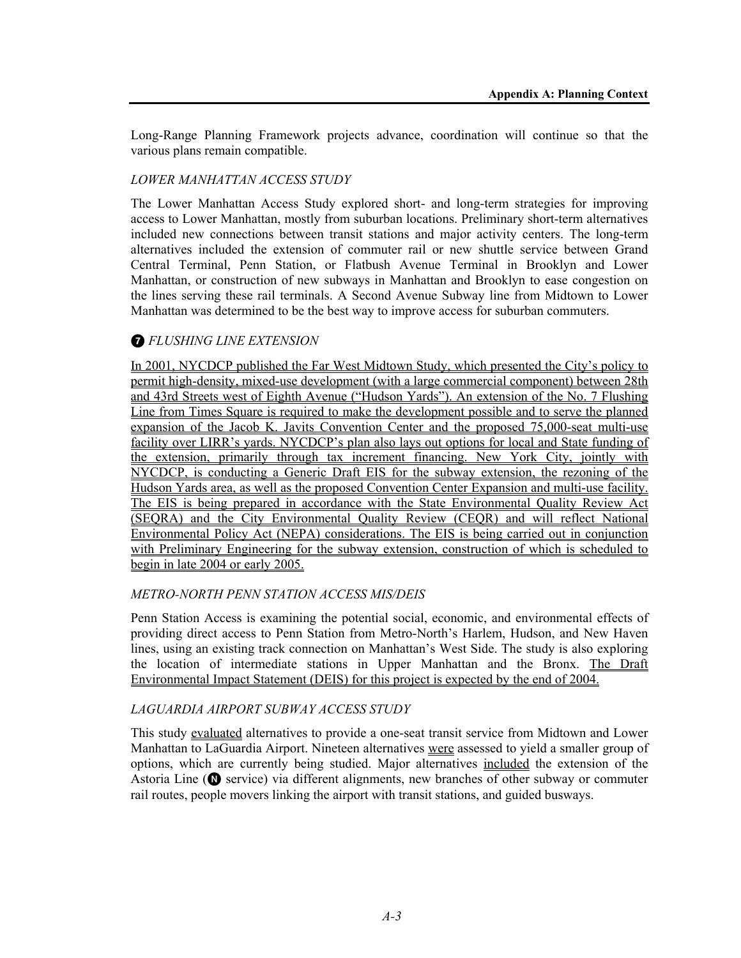Long-Range Planning Framework projects advance, coordination will continue so that the various plans remain compatible.

## *LOWER MANHATTAN ACCESS STUDY*

The Lower Manhattan Access Study explored short- and long-term strategies for improving access to Lower Manhattan, mostly from suburban locations. Preliminary short-term alternatives included new connections between transit stations and major activity centers. The long-term alternatives included the extension of commuter rail or new shuttle service between Grand Central Terminal, Penn Station, or Flatbush Avenue Terminal in Brooklyn and Lower Manhattan, or construction of new subways in Manhattan and Brooklyn to ease congestion on the lines serving these rail terminals. A Second Avenue Subway line from Midtown to Lower Manhattan was determined to be the best way to improve access for suburban commuters.

# 7 *FLUSHING LINE EXTENSION*

In 2001, NYCDCP published the Far West Midtown Study, which presented the City's policy to permit high-density, mixed-use development (with a large commercial component) between 28th and 43rd Streets west of Eighth Avenue ("Hudson Yards"). An extension of the No. 7 Flushing Line from Times Square is required to make the development possible and to serve the planned expansion of the Jacob K. Javits Convention Center and the proposed 75,000-seat multi-use facility over LIRR's yards. NYCDCP's plan also lays out options for local and State funding of the extension, primarily through tax increment financing. New York City, jointly with NYCDCP, is conducting a Generic Draft EIS for the subway extension, the rezoning of the Hudson Yards area, as well as the proposed Convention Center Expansion and multi-use facility. The EIS is being prepared in accordance with the State Environmental Quality Review Act (SEQRA) and the City Environmental Quality Review (CEQR) and will reflect National Environmental Policy Act (NEPA) considerations. The EIS is being carried out in conjunction with Preliminary Engineering for the subway extension, construction of which is scheduled to begin in late 2004 or early 2005.

## *METRO-NORTH PENN STATION ACCESS MIS/DEIS*

Penn Station Access is examining the potential social, economic, and environmental effects of providing direct access to Penn Station from Metro-North's Harlem, Hudson, and New Haven lines, using an existing track connection on Manhattan's West Side. The study is also exploring the location of intermediate stations in Upper Manhattan and the Bronx. The Draft Environmental Impact Statement (DEIS) for this project is expected by the end of 2004.

## *LAGUARDIA AIRPORT SUBWAY ACCESS STUDY*

This study evaluated alternatives to provide a one-seat transit service from Midtown and Lower Manhattan to LaGuardia Airport. Nineteen alternatives were assessed to yield a smaller group of options, which are currently being studied. Major alternatives included the extension of the Astoria Line ( $\bullet$  service) via different alignments, new branches of other subway or commuter rail routes, people movers linking the airport with transit stations, and guided busways.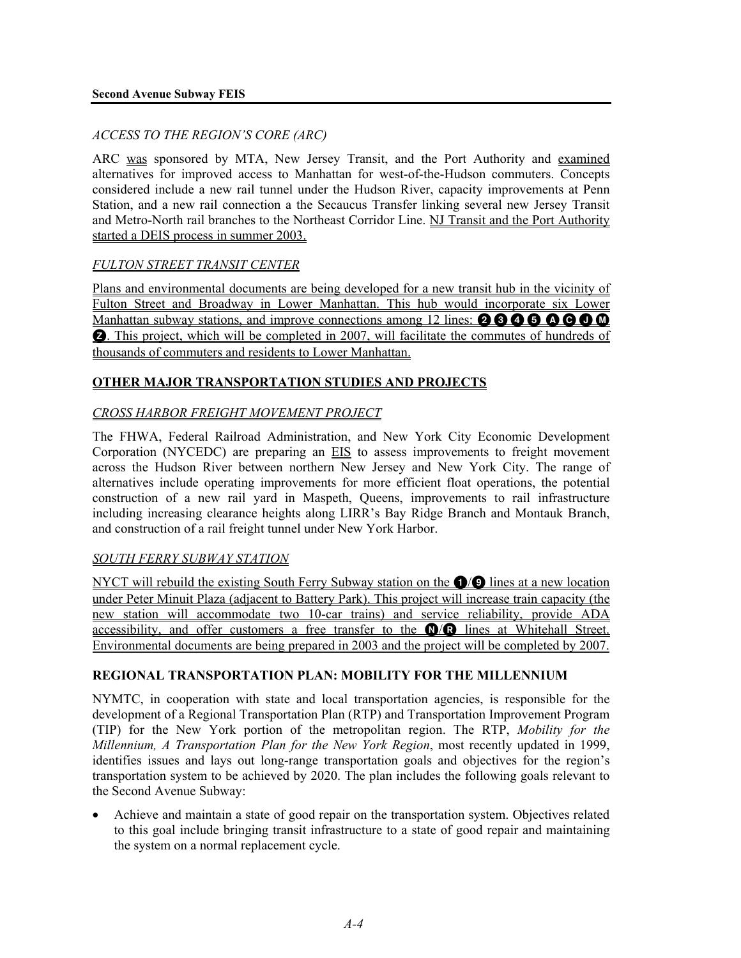## *ACCESS TO THE REGION'S CORE (ARC)*

ARC was sponsored by MTA, New Jersey Transit, and the Port Authority and examined alternatives for improved access to Manhattan for west-of-the-Hudson commuters. Concepts considered include a new rail tunnel under the Hudson River, capacity improvements at Penn Station, and a new rail connection a the Secaucus Transfer linking several new Jersey Transit and Metro-North rail branches to the Northeast Corridor Line. NJ Transit and the Port Authority started a DEIS process in summer 2003.

## *FULTON STREET TRANSIT CENTER*

Plans and environmental documents are being developed for a new transit hub in the vicinity of Fulton Street and Broadway in Lower Manhattan. This hub would incorporate six Lower Manhattan subway stations, and improve connections among 12 lines:  $\mathbf{0} \mathbf{0} \mathbf{0} \mathbf{0} \mathbf{0} \mathbf{0}$  $\bullet$ . This project, which will be completed in 2007, will facilitate the commutes of hundreds of thousands of commuters and residents to Lower Manhattan.

## **OTHER MAJOR TRANSPORTATION STUDIES AND PROJECTS**

## *CROSS HARBOR FREIGHT MOVEMENT PROJECT*

The FHWA, Federal Railroad Administration, and New York City Economic Development Corporation (NYCEDC) are preparing an EIS to assess improvements to freight movement across the Hudson River between northern New Jersey and New York City. The range of alternatives include operating improvements for more efficient float operations, the potential construction of a new rail yard in Maspeth, Queens, improvements to rail infrastructure including increasing clearance heights along LIRR's Bay Ridge Branch and Montauk Branch, and construction of a rail freight tunnel under New York Harbor.

## *SOUTH FERRY SUBWAY STATION*

NYCT will rebuild the existing South Ferry Subway station on the  $\bigcirc$  Ines at a new location under Peter Minuit Plaza (adjacent to Battery Park). This project will increase train capacity (the new station will accommodate two 10-car trains) and service reliability, provide ADA accessibility, and offer customers a free transfer to the **N/R** lines at Whitehall Street. Environmental documents are being prepared in 2003 and the project will be completed by 2007.

## **REGIONAL TRANSPORTATION PLAN: MOBILITY FOR THE MILLENNIUM**

NYMTC, in cooperation with state and local transportation agencies, is responsible for the development of a Regional Transportation Plan (RTP) and Transportation Improvement Program (TIP) for the New York portion of the metropolitan region. The RTP, *Mobility for the Millennium, A Transportation Plan for the New York Region*, most recently updated in 1999, identifies issues and lays out long-range transportation goals and objectives for the region's transportation system to be achieved by 2020. The plan includes the following goals relevant to the Second Avenue Subway:

• Achieve and maintain a state of good repair on the transportation system. Objectives related to this goal include bringing transit infrastructure to a state of good repair and maintaining the system on a normal replacement cycle.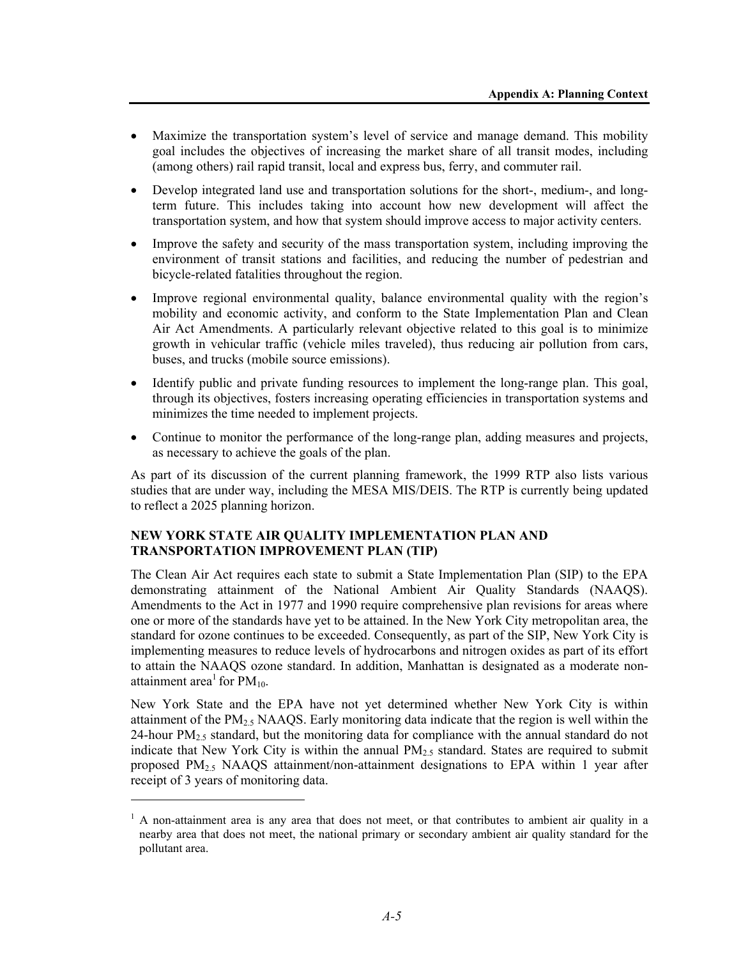- Maximize the transportation system's level of service and manage demand. This mobility goal includes the objectives of increasing the market share of all transit modes, including (among others) rail rapid transit, local and express bus, ferry, and commuter rail.
- Develop integrated land use and transportation solutions for the short-, medium-, and longterm future. This includes taking into account how new development will affect the transportation system, and how that system should improve access to major activity centers.
- Improve the safety and security of the mass transportation system, including improving the environment of transit stations and facilities, and reducing the number of pedestrian and bicycle-related fatalities throughout the region.
- Improve regional environmental quality, balance environmental quality with the region's mobility and economic activity, and conform to the State Implementation Plan and Clean Air Act Amendments. A particularly relevant objective related to this goal is to minimize growth in vehicular traffic (vehicle miles traveled), thus reducing air pollution from cars, buses, and trucks (mobile source emissions).
- Identify public and private funding resources to implement the long-range plan. This goal, through its objectives, fosters increasing operating efficiencies in transportation systems and minimizes the time needed to implement projects.
- Continue to monitor the performance of the long-range plan, adding measures and projects, as necessary to achieve the goals of the plan.

As part of its discussion of the current planning framework, the 1999 RTP also lists various studies that are under way, including the MESA MIS/DEIS. The RTP is currently being updated to reflect a 2025 planning horizon.

## **NEW YORK STATE AIR QUALITY IMPLEMENTATION PLAN AND TRANSPORTATION IMPROVEMENT PLAN (TIP)**

l

The Clean Air Act requires each state to submit a State Implementation Plan (SIP) to the EPA demonstrating attainment of the National Ambient Air Quality Standards (NAAQS). Amendments to the Act in 1977 and 1990 require comprehensive plan revisions for areas where one or more of the standards have yet to be attained. In the New York City metropolitan area, the standard for ozone continues to be exceeded. Consequently, as part of the SIP, New York City is implementing measures to reduce levels of hydrocarbons and nitrogen oxides as part of its effort to attain the NAAQS ozone standard. In addition, Manhattan is designated as a moderate nonattainment area<sup>1</sup> for  $PM_{10}$ .

New York State and the EPA have not yet determined whether New York City is within attainment of the  $PM<sub>2.5</sub> NAAQS$ . Early monitoring data indicate that the region is well within the 24-hour  $PM_{2.5}$  standard, but the monitoring data for compliance with the annual standard do not indicate that New York City is within the annual  $PM<sub>2.5</sub>$  standard. States are required to submit proposed  $PM<sub>2.5</sub> NAAQS$  attainment/non-attainment designations to EPA within 1 year after receipt of 3 years of monitoring data.

<sup>&</sup>lt;sup>1</sup> A non-attainment area is any area that does not meet, or that contributes to ambient air quality in a nearby area that does not meet, the national primary or secondary ambient air quality standard for the pollutant area.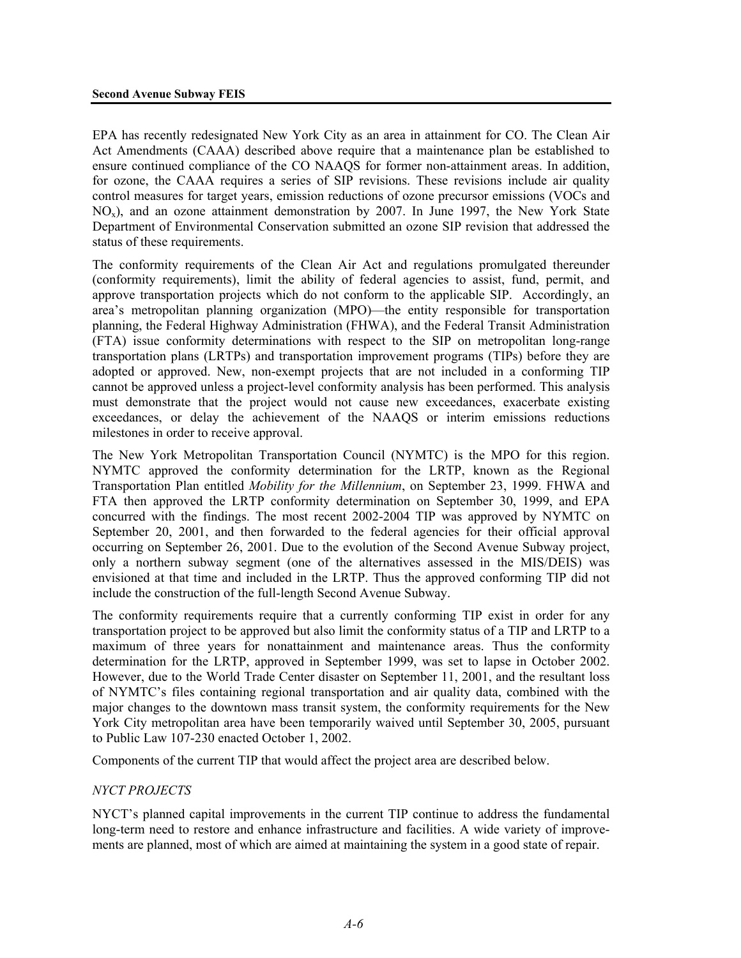EPA has recently redesignated New York City as an area in attainment for CO. The Clean Air Act Amendments (CAAA) described above require that a maintenance plan be established to ensure continued compliance of the CO NAAQS for former non-attainment areas. In addition, for ozone, the CAAA requires a series of SIP revisions. These revisions include air quality control measures for target years, emission reductions of ozone precursor emissions (VOCs and  $NO<sub>x</sub>$ ), and an ozone attainment demonstration by 2007. In June 1997, the New York State Department of Environmental Conservation submitted an ozone SIP revision that addressed the status of these requirements.

The conformity requirements of the Clean Air Act and regulations promulgated thereunder (conformity requirements), limit the ability of federal agencies to assist, fund, permit, and approve transportation projects which do not conform to the applicable SIP. Accordingly, an area's metropolitan planning organization (MPO)—the entity responsible for transportation planning, the Federal Highway Administration (FHWA), and the Federal Transit Administration (FTA) issue conformity determinations with respect to the SIP on metropolitan long-range transportation plans (LRTPs) and transportation improvement programs (TIPs) before they are adopted or approved. New, non-exempt projects that are not included in a conforming TIP cannot be approved unless a project-level conformity analysis has been performed. This analysis must demonstrate that the project would not cause new exceedances, exacerbate existing exceedances, or delay the achievement of the NAAQS or interim emissions reductions milestones in order to receive approval.

The New York Metropolitan Transportation Council (NYMTC) is the MPO for this region. NYMTC approved the conformity determination for the LRTP, known as the Regional Transportation Plan entitled *Mobility for the Millennium*, on September 23, 1999. FHWA and FTA then approved the LRTP conformity determination on September 30, 1999, and EPA concurred with the findings. The most recent 2002-2004 TIP was approved by NYMTC on September 20, 2001, and then forwarded to the federal agencies for their official approval occurring on September 26, 2001. Due to the evolution of the Second Avenue Subway project, only a northern subway segment (one of the alternatives assessed in the MIS/DEIS) was envisioned at that time and included in the LRTP. Thus the approved conforming TIP did not include the construction of the full-length Second Avenue Subway.

The conformity requirements require that a currently conforming TIP exist in order for any transportation project to be approved but also limit the conformity status of a TIP and LRTP to a maximum of three years for nonattainment and maintenance areas. Thus the conformity determination for the LRTP, approved in September 1999, was set to lapse in October 2002. However, due to the World Trade Center disaster on September 11, 2001, and the resultant loss of NYMTC's files containing regional transportation and air quality data, combined with the major changes to the downtown mass transit system, the conformity requirements for the New York City metropolitan area have been temporarily waived until September 30, 2005, pursuant to Public Law 107-230 enacted October 1, 2002.

Components of the current TIP that would affect the project area are described below.

### *NYCT PROJECTS*

NYCT's planned capital improvements in the current TIP continue to address the fundamental long-term need to restore and enhance infrastructure and facilities. A wide variety of improvements are planned, most of which are aimed at maintaining the system in a good state of repair.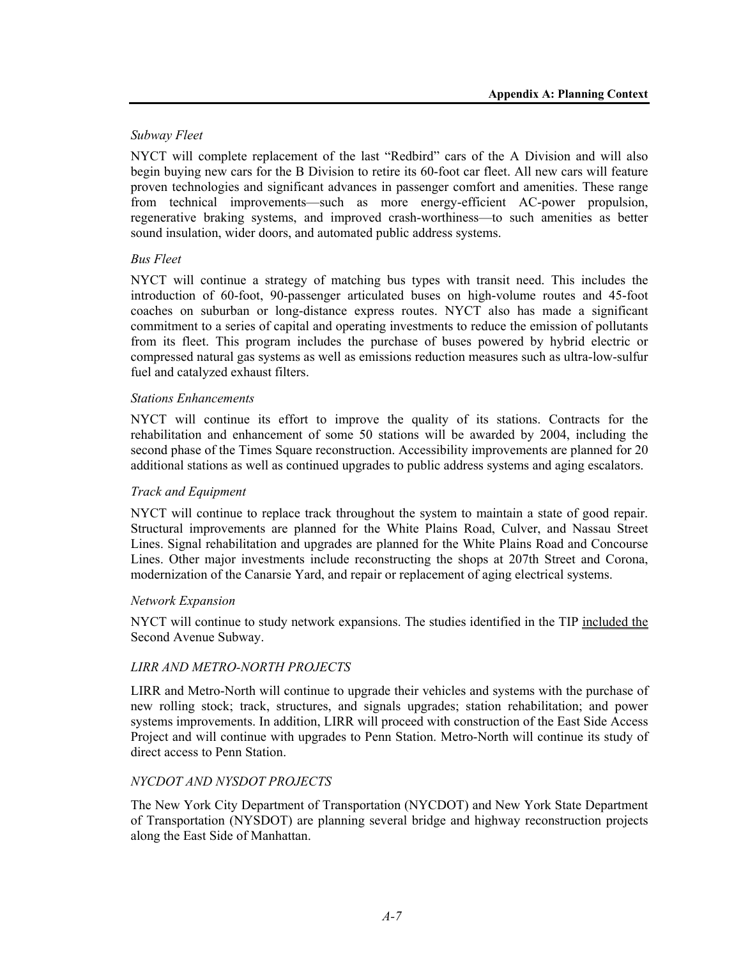## *Subway Fleet*

NYCT will complete replacement of the last "Redbird" cars of the A Division and will also begin buying new cars for the B Division to retire its 60-foot car fleet. All new cars will feature proven technologies and significant advances in passenger comfort and amenities. These range from technical improvements—such as more energy-efficient AC-power propulsion, regenerative braking systems, and improved crash-worthiness—to such amenities as better sound insulation, wider doors, and automated public address systems.

### *Bus Fleet*

NYCT will continue a strategy of matching bus types with transit need. This includes the introduction of 60-foot, 90-passenger articulated buses on high-volume routes and 45-foot coaches on suburban or long-distance express routes. NYCT also has made a significant commitment to a series of capital and operating investments to reduce the emission of pollutants from its fleet. This program includes the purchase of buses powered by hybrid electric or compressed natural gas systems as well as emissions reduction measures such as ultra-low-sulfur fuel and catalyzed exhaust filters.

### *Stations Enhancements*

NYCT will continue its effort to improve the quality of its stations. Contracts for the rehabilitation and enhancement of some 50 stations will be awarded by 2004, including the second phase of the Times Square reconstruction. Accessibility improvements are planned for 20 additional stations as well as continued upgrades to public address systems and aging escalators.

### *Track and Equipment*

NYCT will continue to replace track throughout the system to maintain a state of good repair. Structural improvements are planned for the White Plains Road, Culver, and Nassau Street Lines. Signal rehabilitation and upgrades are planned for the White Plains Road and Concourse Lines. Other major investments include reconstructing the shops at 207th Street and Corona, modernization of the Canarsie Yard, and repair or replacement of aging electrical systems.

### *Network Expansion*

NYCT will continue to study network expansions. The studies identified in the TIP included the Second Avenue Subway.

### *LIRR AND METRO-NORTH PROJECTS*

LIRR and Metro-North will continue to upgrade their vehicles and systems with the purchase of new rolling stock; track, structures, and signals upgrades; station rehabilitation; and power systems improvements. In addition, LIRR will proceed with construction of the East Side Access Project and will continue with upgrades to Penn Station. Metro-North will continue its study of direct access to Penn Station.

## *NYCDOT AND NYSDOT PROJECTS*

The New York City Department of Transportation (NYCDOT) and New York State Department of Transportation (NYSDOT) are planning several bridge and highway reconstruction projects along the East Side of Manhattan.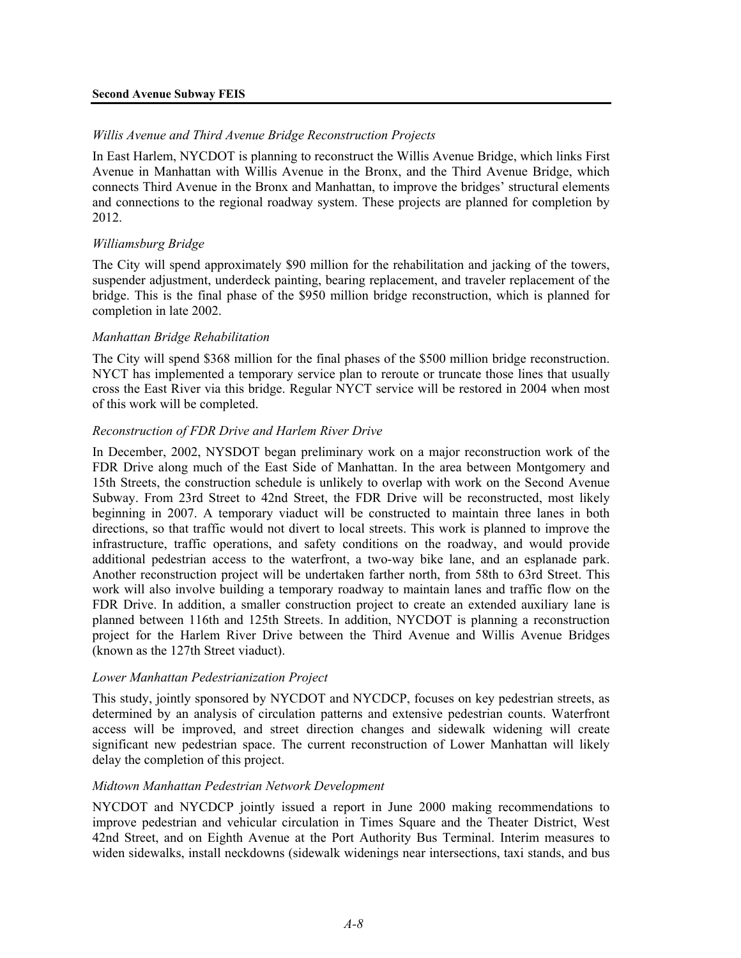### *Willis Avenue and Third Avenue Bridge Reconstruction Projects*

In East Harlem, NYCDOT is planning to reconstruct the Willis Avenue Bridge, which links First Avenue in Manhattan with Willis Avenue in the Bronx, and the Third Avenue Bridge, which connects Third Avenue in the Bronx and Manhattan, to improve the bridges' structural elements and connections to the regional roadway system. These projects are planned for completion by 2012.

#### *Williamsburg Bridge*

The City will spend approximately \$90 million for the rehabilitation and jacking of the towers, suspender adjustment, underdeck painting, bearing replacement, and traveler replacement of the bridge. This is the final phase of the \$950 million bridge reconstruction, which is planned for completion in late 2002.

#### *Manhattan Bridge Rehabilitation*

The City will spend \$368 million for the final phases of the \$500 million bridge reconstruction. NYCT has implemented a temporary service plan to reroute or truncate those lines that usually cross the East River via this bridge. Regular NYCT service will be restored in 2004 when most of this work will be completed.

#### *Reconstruction of FDR Drive and Harlem River Drive*

In December, 2002, NYSDOT began preliminary work on a major reconstruction work of the FDR Drive along much of the East Side of Manhattan. In the area between Montgomery and 15th Streets, the construction schedule is unlikely to overlap with work on the Second Avenue Subway. From 23rd Street to 42nd Street, the FDR Drive will be reconstructed, most likely beginning in 2007. A temporary viaduct will be constructed to maintain three lanes in both directions, so that traffic would not divert to local streets. This work is planned to improve the infrastructure, traffic operations, and safety conditions on the roadway, and would provide additional pedestrian access to the waterfront, a two-way bike lane, and an esplanade park. Another reconstruction project will be undertaken farther north, from 58th to 63rd Street. This work will also involve building a temporary roadway to maintain lanes and traffic flow on the FDR Drive. In addition, a smaller construction project to create an extended auxiliary lane is planned between 116th and 125th Streets. In addition, NYCDOT is planning a reconstruction project for the Harlem River Drive between the Third Avenue and Willis Avenue Bridges (known as the 127th Street viaduct).

#### *Lower Manhattan Pedestrianization Project*

This study, jointly sponsored by NYCDOT and NYCDCP, focuses on key pedestrian streets, as determined by an analysis of circulation patterns and extensive pedestrian counts. Waterfront access will be improved, and street direction changes and sidewalk widening will create significant new pedestrian space. The current reconstruction of Lower Manhattan will likely delay the completion of this project.

#### *Midtown Manhattan Pedestrian Network Development*

NYCDOT and NYCDCP jointly issued a report in June 2000 making recommendations to improve pedestrian and vehicular circulation in Times Square and the Theater District, West 42nd Street, and on Eighth Avenue at the Port Authority Bus Terminal. Interim measures to widen sidewalks, install neckdowns (sidewalk widenings near intersections, taxi stands, and bus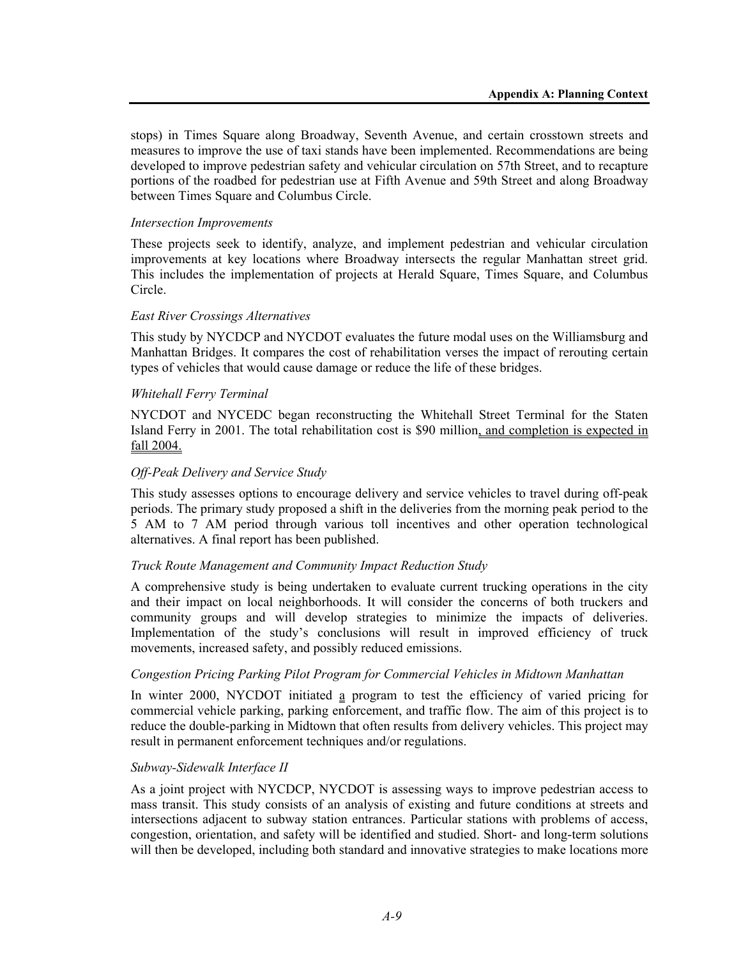stops) in Times Square along Broadway, Seventh Avenue, and certain crosstown streets and measures to improve the use of taxi stands have been implemented. Recommendations are being developed to improve pedestrian safety and vehicular circulation on 57th Street, and to recapture portions of the roadbed for pedestrian use at Fifth Avenue and 59th Street and along Broadway between Times Square and Columbus Circle.

### *Intersection Improvements*

These projects seek to identify, analyze, and implement pedestrian and vehicular circulation improvements at key locations where Broadway intersects the regular Manhattan street grid. This includes the implementation of projects at Herald Square, Times Square, and Columbus Circle.

## *East River Crossings Alternatives*

This study by NYCDCP and NYCDOT evaluates the future modal uses on the Williamsburg and Manhattan Bridges. It compares the cost of rehabilitation verses the impact of rerouting certain types of vehicles that would cause damage or reduce the life of these bridges.

## *Whitehall Ferry Terminal*

NYCDOT and NYCEDC began reconstructing the Whitehall Street Terminal for the Staten Island Ferry in 2001. The total rehabilitation cost is \$90 million, and completion is expected in fall 2004.

## *Off-Peak Delivery and Service Study*

This study assesses options to encourage delivery and service vehicles to travel during off-peak periods. The primary study proposed a shift in the deliveries from the morning peak period to the 5 AM to 7 AM period through various toll incentives and other operation technological alternatives. A final report has been published.

### *Truck Route Management and Community Impact Reduction Study*

A comprehensive study is being undertaken to evaluate current trucking operations in the city and their impact on local neighborhoods. It will consider the concerns of both truckers and community groups and will develop strategies to minimize the impacts of deliveries. Implementation of the study's conclusions will result in improved efficiency of truck movements, increased safety, and possibly reduced emissions.

### *Congestion Pricing Parking Pilot Program for Commercial Vehicles in Midtown Manhattan*

In winter 2000, NYCDOT initiated a program to test the efficiency of varied pricing for commercial vehicle parking, parking enforcement, and traffic flow. The aim of this project is to reduce the double-parking in Midtown that often results from delivery vehicles. This project may result in permanent enforcement techniques and/or regulations.

### *Subway-Sidewalk Interface II*

As a joint project with NYCDCP, NYCDOT is assessing ways to improve pedestrian access to mass transit. This study consists of an analysis of existing and future conditions at streets and intersections adjacent to subway station entrances. Particular stations with problems of access, congestion, orientation, and safety will be identified and studied. Short- and long-term solutions will then be developed, including both standard and innovative strategies to make locations more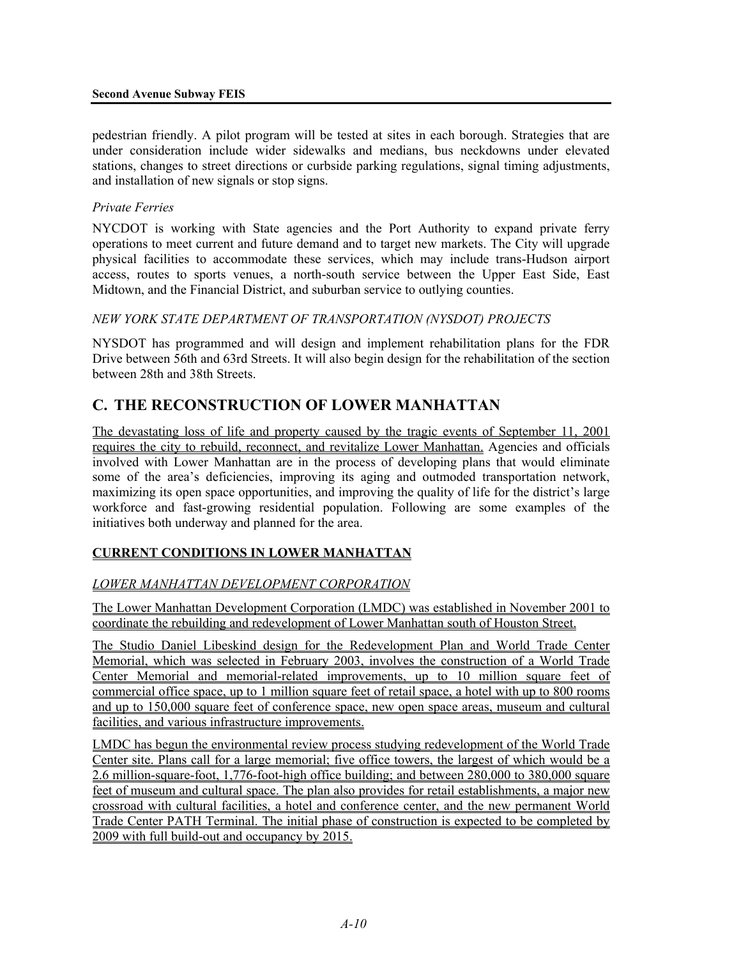pedestrian friendly. A pilot program will be tested at sites in each borough. Strategies that are under consideration include wider sidewalks and medians, bus neckdowns under elevated stations, changes to street directions or curbside parking regulations, signal timing adjustments, and installation of new signals or stop signs.

## *Private Ferries*

NYCDOT is working with State agencies and the Port Authority to expand private ferry operations to meet current and future demand and to target new markets. The City will upgrade physical facilities to accommodate these services, which may include trans-Hudson airport access, routes to sports venues, a north-south service between the Upper East Side, East Midtown, and the Financial District, and suburban service to outlying counties.

## *NEW YORK STATE DEPARTMENT OF TRANSPORTATION (NYSDOT) PROJECTS*

NYSDOT has programmed and will design and implement rehabilitation plans for the FDR Drive between 56th and 63rd Streets. It will also begin design for the rehabilitation of the section between 28th and 38th Streets.

# **C. THE RECONSTRUCTION OF LOWER MANHATTAN**

The devastating loss of life and property caused by the tragic events of September 11, 2001 requires the city to rebuild, reconnect, and revitalize Lower Manhattan. Agencies and officials involved with Lower Manhattan are in the process of developing plans that would eliminate some of the area's deficiencies, improving its aging and outmoded transportation network, maximizing its open space opportunities, and improving the quality of life for the district's large workforce and fast-growing residential population. Following are some examples of the initiatives both underway and planned for the area.

## **CURRENT CONDITIONS IN LOWER MANHATTAN**

## *LOWER MANHATTAN DEVELOPMENT CORPORATION*

The Lower Manhattan Development Corporation (LMDC) was established in November 2001 to coordinate the rebuilding and redevelopment of Lower Manhattan south of Houston Street.

The Studio Daniel Libeskind design for the Redevelopment Plan and World Trade Center Memorial, which was selected in February 2003, involves the construction of a World Trade Center Memorial and memorial-related improvements, up to 10 million square feet of commercial office space, up to 1 million square feet of retail space, a hotel with up to 800 rooms and up to 150,000 square feet of conference space, new open space areas, museum and cultural facilities, and various infrastructure improvements.

LMDC has begun the environmental review process studying redevelopment of the World Trade Center site. Plans call for a large memorial; five office towers, the largest of which would be a 2.6 million-square-foot, 1,776-foot-high office building; and between 280,000 to 380,000 square feet of museum and cultural space. The plan also provides for retail establishments, a major new crossroad with cultural facilities, a hotel and conference center, and the new permanent World Trade Center PATH Terminal. The initial phase of construction is expected to be completed by 2009 with full build-out and occupancy by 2015.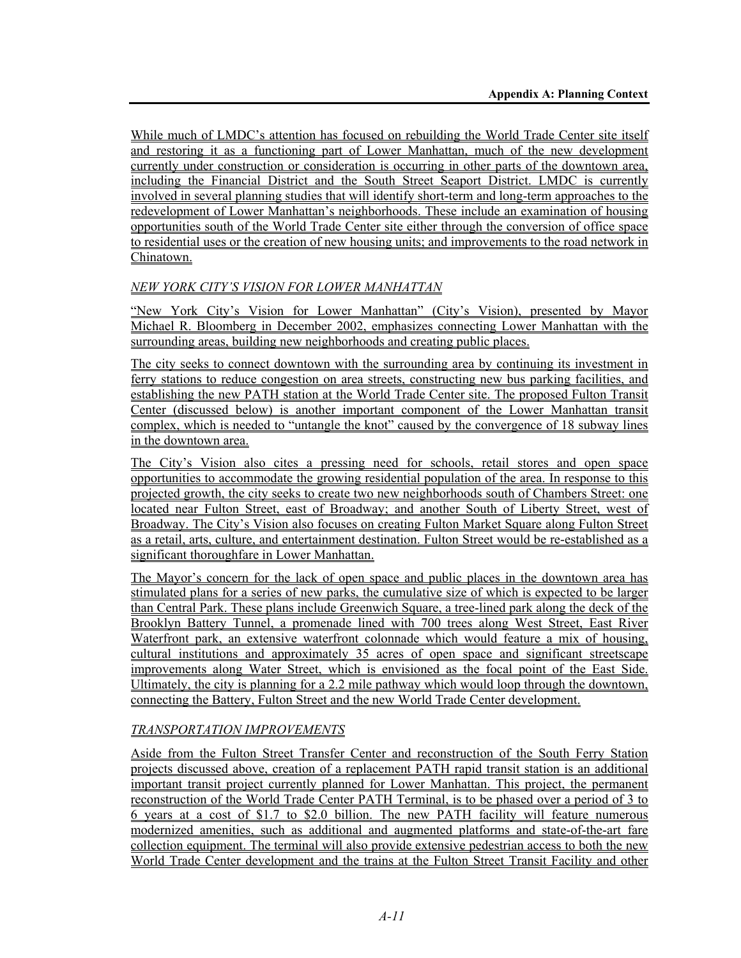While much of LMDC's attention has focused on rebuilding the World Trade Center site itself and restoring it as a functioning part of Lower Manhattan, much of the new development currently under construction or consideration is occurring in other parts of the downtown area, including the Financial District and the South Street Seaport District. LMDC is currently involved in several planning studies that will identify short-term and long-term approaches to the redevelopment of Lower Manhattan's neighborhoods. These include an examination of housing opportunities south of the World Trade Center site either through the conversion of office space to residential uses or the creation of new housing units; and improvements to the road network in Chinatown.

## *NEW YORK CITY'S VISION FOR LOWER MANHATTAN*

"New York City's Vision for Lower Manhattan" (City's Vision), presented by Mayor Michael R. Bloomberg in December 2002, emphasizes connecting Lower Manhattan with the surrounding areas, building new neighborhoods and creating public places.

The city seeks to connect downtown with the surrounding area by continuing its investment in ferry stations to reduce congestion on area streets, constructing new bus parking facilities, and establishing the new PATH station at the World Trade Center site. The proposed Fulton Transit Center (discussed below) is another important component of the Lower Manhattan transit complex, which is needed to "untangle the knot" caused by the convergence of 18 subway lines in the downtown area.

The City's Vision also cites a pressing need for schools, retail stores and open space opportunities to accommodate the growing residential population of the area. In response to this projected growth, the city seeks to create two new neighborhoods south of Chambers Street: one located near Fulton Street, east of Broadway; and another South of Liberty Street, west of Broadway. The City's Vision also focuses on creating Fulton Market Square along Fulton Street as a retail, arts, culture, and entertainment destination. Fulton Street would be re-established as a significant thoroughfare in Lower Manhattan.

The Mayor's concern for the lack of open space and public places in the downtown area has stimulated plans for a series of new parks, the cumulative size of which is expected to be larger than Central Park. These plans include Greenwich Square, a tree-lined park along the deck of the Brooklyn Battery Tunnel, a promenade lined with 700 trees along West Street, East River Waterfront park, an extensive waterfront colonnade which would feature a mix of housing, cultural institutions and approximately 35 acres of open space and significant streetscape improvements along Water Street, which is envisioned as the focal point of the East Side. Ultimately, the city is planning for a 2.2 mile pathway which would loop through the downtown, connecting the Battery, Fulton Street and the new World Trade Center development.

## *TRANSPORTATION IMPROVEMENTS*

Aside from the Fulton Street Transfer Center and reconstruction of the South Ferry Station projects discussed above, creation of a replacement PATH rapid transit station is an additional important transit project currently planned for Lower Manhattan. This project, the permanent reconstruction of the World Trade Center PATH Terminal, is to be phased over a period of 3 to 6 years at a cost of \$1.7 to \$2.0 billion. The new PATH facility will feature numerous modernized amenities, such as additional and augmented platforms and state-of-the-art fare collection equipment. The terminal will also provide extensive pedestrian access to both the new World Trade Center development and the trains at the Fulton Street Transit Facility and other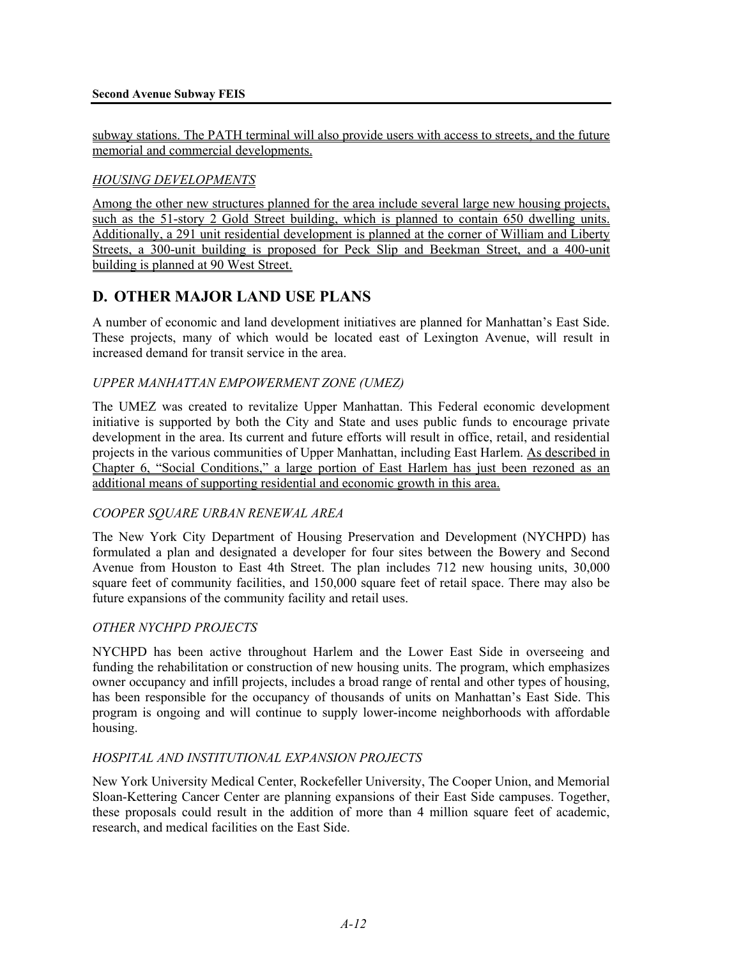subway stations. The PATH terminal will also provide users with access to streets, and the future memorial and commercial developments.

## *HOUSING DEVELOPMENTS*

Among the other new structures planned for the area include several large new housing projects, such as the 51-story 2 Gold Street building, which is planned to contain 650 dwelling units. Additionally, a 291 unit residential development is planned at the corner of William and Liberty Streets, a 300-unit building is proposed for Peck Slip and Beekman Street, and a 400-unit building is planned at 90 West Street.

# **D. OTHER MAJOR LAND USE PLANS**

A number of economic and land development initiatives are planned for Manhattan's East Side. These projects, many of which would be located east of Lexington Avenue, will result in increased demand for transit service in the area.

## *UPPER MANHATTAN EMPOWERMENT ZONE (UMEZ)*

The UMEZ was created to revitalize Upper Manhattan. This Federal economic development initiative is supported by both the City and State and uses public funds to encourage private development in the area. Its current and future efforts will result in office, retail, and residential projects in the various communities of Upper Manhattan, including East Harlem. As described in Chapter 6, "Social Conditions," a large portion of East Harlem has just been rezoned as an additional means of supporting residential and economic growth in this area.

## *COOPER SQUARE URBAN RENEWAL AREA*

The New York City Department of Housing Preservation and Development (NYCHPD) has formulated a plan and designated a developer for four sites between the Bowery and Second Avenue from Houston to East 4th Street. The plan includes 712 new housing units, 30,000 square feet of community facilities, and 150,000 square feet of retail space. There may also be future expansions of the community facility and retail uses.

### *OTHER NYCHPD PROJECTS*

NYCHPD has been active throughout Harlem and the Lower East Side in overseeing and funding the rehabilitation or construction of new housing units. The program, which emphasizes owner occupancy and infill projects, includes a broad range of rental and other types of housing, has been responsible for the occupancy of thousands of units on Manhattan's East Side. This program is ongoing and will continue to supply lower-income neighborhoods with affordable housing.

### *HOSPITAL AND INSTITUTIONAL EXPANSION PROJECTS*

New York University Medical Center, Rockefeller University, The Cooper Union, and Memorial Sloan-Kettering Cancer Center are planning expansions of their East Side campuses. Together, these proposals could result in the addition of more than 4 million square feet of academic, research, and medical facilities on the East Side.